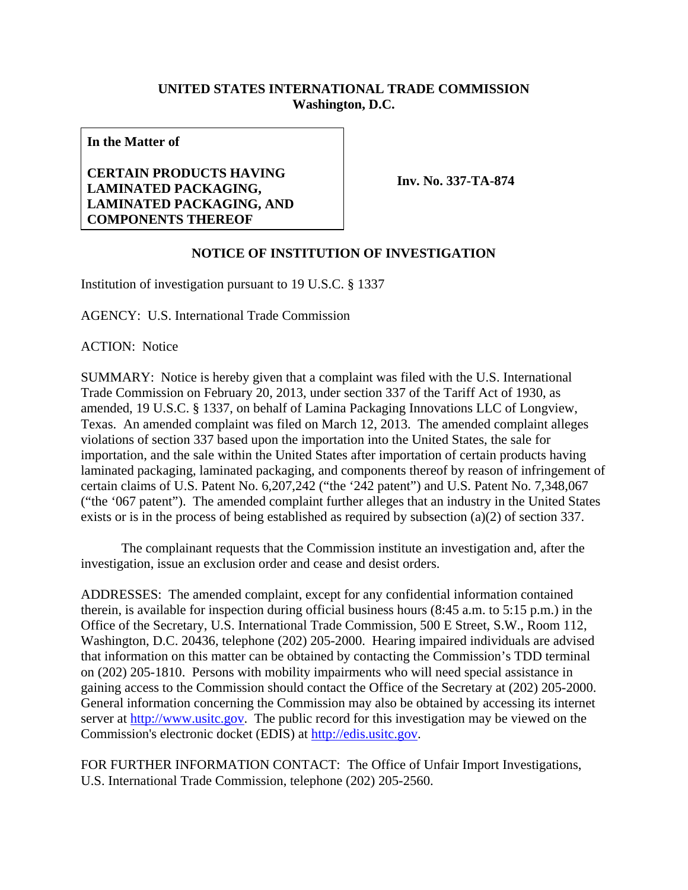## **UNITED STATES INTERNATIONAL TRADE COMMISSION Washington, D.C.**

**In the Matter of** 

## **CERTAIN PRODUCTS HAVING LAMINATED PACKAGING, LAMINATED PACKAGING, AND COMPONENTS THEREOF**

**Inv. No. 337-TA-874**

## **NOTICE OF INSTITUTION OF INVESTIGATION**

Institution of investigation pursuant to 19 U.S.C. § 1337

AGENCY: U.S. International Trade Commission

ACTION: Notice

SUMMARY: Notice is hereby given that a complaint was filed with the U.S. International Trade Commission on February 20, 2013, under section 337 of the Tariff Act of 1930, as amended, 19 U.S.C. § 1337, on behalf of Lamina Packaging Innovations LLC of Longview, Texas. An amended complaint was filed on March 12, 2013. The amended complaint alleges violations of section 337 based upon the importation into the United States, the sale for importation, and the sale within the United States after importation of certain products having laminated packaging, laminated packaging, and components thereof by reason of infringement of certain claims of U.S. Patent No. 6,207,242 ("the '242 patent") and U.S. Patent No. 7,348,067 ("the '067 patent"). The amended complaint further alleges that an industry in the United States exists or is in the process of being established as required by subsection (a)(2) of section 337.

 The complainant requests that the Commission institute an investigation and, after the investigation, issue an exclusion order and cease and desist orders.

ADDRESSES: The amended complaint, except for any confidential information contained therein, is available for inspection during official business hours (8:45 a.m. to 5:15 p.m.) in the Office of the Secretary, U.S. International Trade Commission, 500 E Street, S.W., Room 112, Washington, D.C. 20436, telephone (202) 205-2000. Hearing impaired individuals are advised that information on this matter can be obtained by contacting the Commission's TDD terminal on (202) 205-1810. Persons with mobility impairments who will need special assistance in gaining access to the Commission should contact the Office of the Secretary at (202) 205-2000. General information concerning the Commission may also be obtained by accessing its internet server at http://www.usitc.gov. The public record for this investigation may be viewed on the Commission's electronic docket (EDIS) at http://edis.usitc.gov.

FOR FURTHER INFORMATION CONTACT: The Office of Unfair Import Investigations, U.S. International Trade Commission, telephone (202) 205-2560.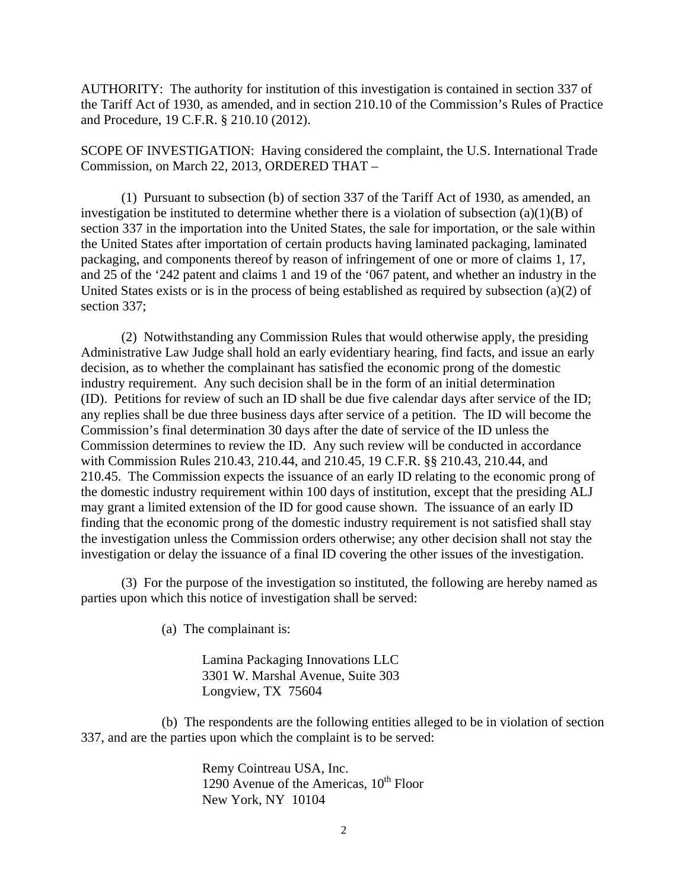AUTHORITY: The authority for institution of this investigation is contained in section 337 of the Tariff Act of 1930, as amended, and in section 210.10 of the Commission's Rules of Practice and Procedure, 19 C.F.R. § 210.10 (2012).

SCOPE OF INVESTIGATION: Having considered the complaint, the U.S. International Trade Commission, on March 22, 2013, ORDERED THAT –

 (1) Pursuant to subsection (b) of section 337 of the Tariff Act of 1930, as amended, an investigation be instituted to determine whether there is a violation of subsection (a)(1)(B) of section 337 in the importation into the United States, the sale for importation, or the sale within the United States after importation of certain products having laminated packaging, laminated packaging, and components thereof by reason of infringement of one or more of claims 1, 17, and 25 of the '242 patent and claims 1 and 19 of the '067 patent, and whether an industry in the United States exists or is in the process of being established as required by subsection (a)(2) of section 337;

 (2) Notwithstanding any Commission Rules that would otherwise apply, the presiding Administrative Law Judge shall hold an early evidentiary hearing, find facts, and issue an early decision, as to whether the complainant has satisfied the economic prong of the domestic industry requirement. Any such decision shall be in the form of an initial determination (ID). Petitions for review of such an ID shall be due five calendar days after service of the ID; any replies shall be due three business days after service of a petition. The ID will become the Commission's final determination 30 days after the date of service of the ID unless the Commission determines to review the ID. Any such review will be conducted in accordance with Commission Rules 210.43, 210.44, and 210.45, 19 C.F.R. §§ 210.43, 210.44, and 210.45. The Commission expects the issuance of an early ID relating to the economic prong of the domestic industry requirement within 100 days of institution, except that the presiding ALJ may grant a limited extension of the ID for good cause shown. The issuance of an early ID finding that the economic prong of the domestic industry requirement is not satisfied shall stay the investigation unless the Commission orders otherwise; any other decision shall not stay the investigation or delay the issuance of a final ID covering the other issues of the investigation.

(3) For the purpose of the investigation so instituted, the following are hereby named as parties upon which this notice of investigation shall be served:

(a) The complainant is:

 Lamina Packaging Innovations LLC 3301 W. Marshal Avenue, Suite 303 Longview, TX 75604

 (b) The respondents are the following entities alleged to be in violation of section 337, and are the parties upon which the complaint is to be served:

> Remy Cointreau USA, Inc. 1290 Avenue of the Americas,  $10^{th}$  Floor New York, NY 10104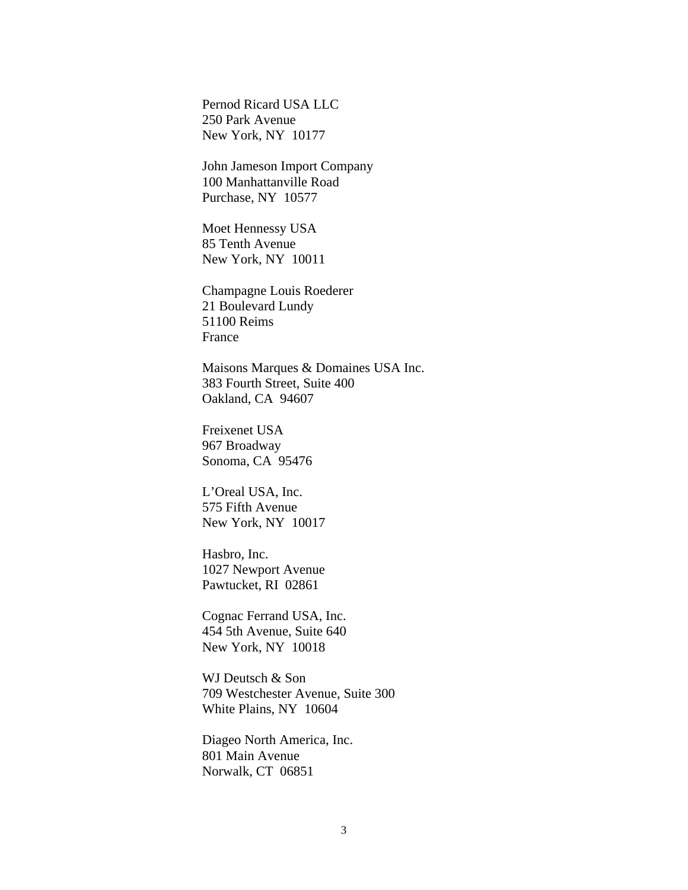Pernod Ricard USA LLC 250 Park Avenue New York, NY 10177

 John Jameson Import Company 100 Manhattanville Road Purchase, NY 10577

 Moet Hennessy USA 85 Tenth Avenue New York, NY 10011

 Champagne Louis Roederer 21 Boulevard Lundy 51100 Reims France

Maisons Marques & Domaines USA Inc. 383 Fourth Street, Suite 400 Oakland, CA 94607

Freixenet USA 967 Broadway Sonoma, CA 95476

L'Oreal USA, Inc. 575 Fifth Avenue New York, NY 10017

Hasbro, Inc. 1027 Newport Avenue Pawtucket, RI 02861

Cognac Ferrand USA, Inc. 454 5th Avenue, Suite 640 New York, NY 10018

WJ Deutsch & Son 709 Westchester Avenue, Suite 300 White Plains, NY 10604

Diageo North America, Inc. 801 Main Avenue Norwalk, CT 06851